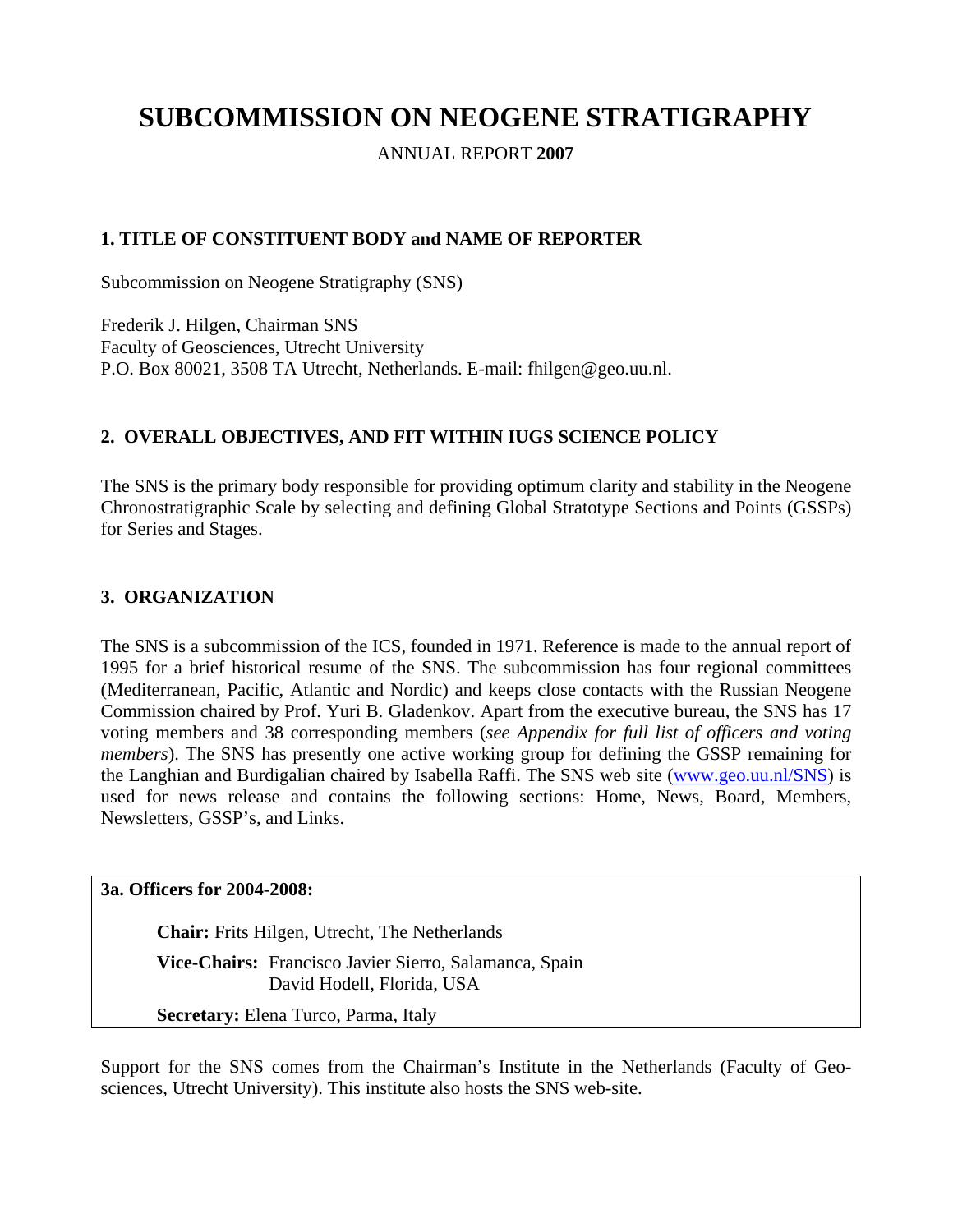# **SUBCOMMISSION ON NEOGENE STRATIGRAPHY**

ANNUAL REPORT **2007**

# **1. TITLE OF CONSTITUENT BODY and NAME OF REPORTER**

Subcommission on Neogene Stratigraphy (SNS)

Frederik J. Hilgen, Chairman SNS Faculty of Geosciences, Utrecht University P.O. Box 80021, 3508 TA Utrecht, Netherlands. E-mail: fhilgen@geo.uu.nl.

# **2. OVERALL OBJECTIVES, AND FIT WITHIN IUGS SCIENCE POLICY**

The SNS is the primary body responsible for providing optimum clarity and stability in the Neogene Chronostratigraphic Scale by selecting and defining Global Stratotype Sections and Points (GSSPs) for Series and Stages.

## **3. ORGANIZATION**

The SNS is a subcommission of the ICS, founded in 1971. Reference is made to the annual report of 1995 for a brief historical resume of the SNS. The subcommission has four regional committees (Mediterranean, Pacific, Atlantic and Nordic) and keeps close contacts with the Russian Neogene Commission chaired by Prof. Yuri B. Gladenkov. Apart from the executive bureau, the SNS has 17 voting members and 38 corresponding members (*see Appendix for full list of officers and voting members*). The SNS has presently one active working group for defining the GSSP remaining for the Langhian and Burdigalian chaired by Isabella Raffi. The SNS web site ([www.geo.uu.nl/SNS\)](http://www.geo.uu.nl/SNS) is used for news release and contains the following sections: Home, News, Board, Members, Newsletters, GSSP's, and Links.

#### **3a. Officers for 2004-2008:**

**Chair:** Frits Hilgen, Utrecht, The Netherlands **Vice-Chairs:** Francisco Javier Sierro, Salamanca, Spain David Hodell, Florida, USA **Secretary:** Elena Turco, Parma, Italy

Support for the SNS comes from the Chairman's Institute in the Netherlands (Faculty of Geosciences, Utrecht University). This institute also hosts the SNS web-site.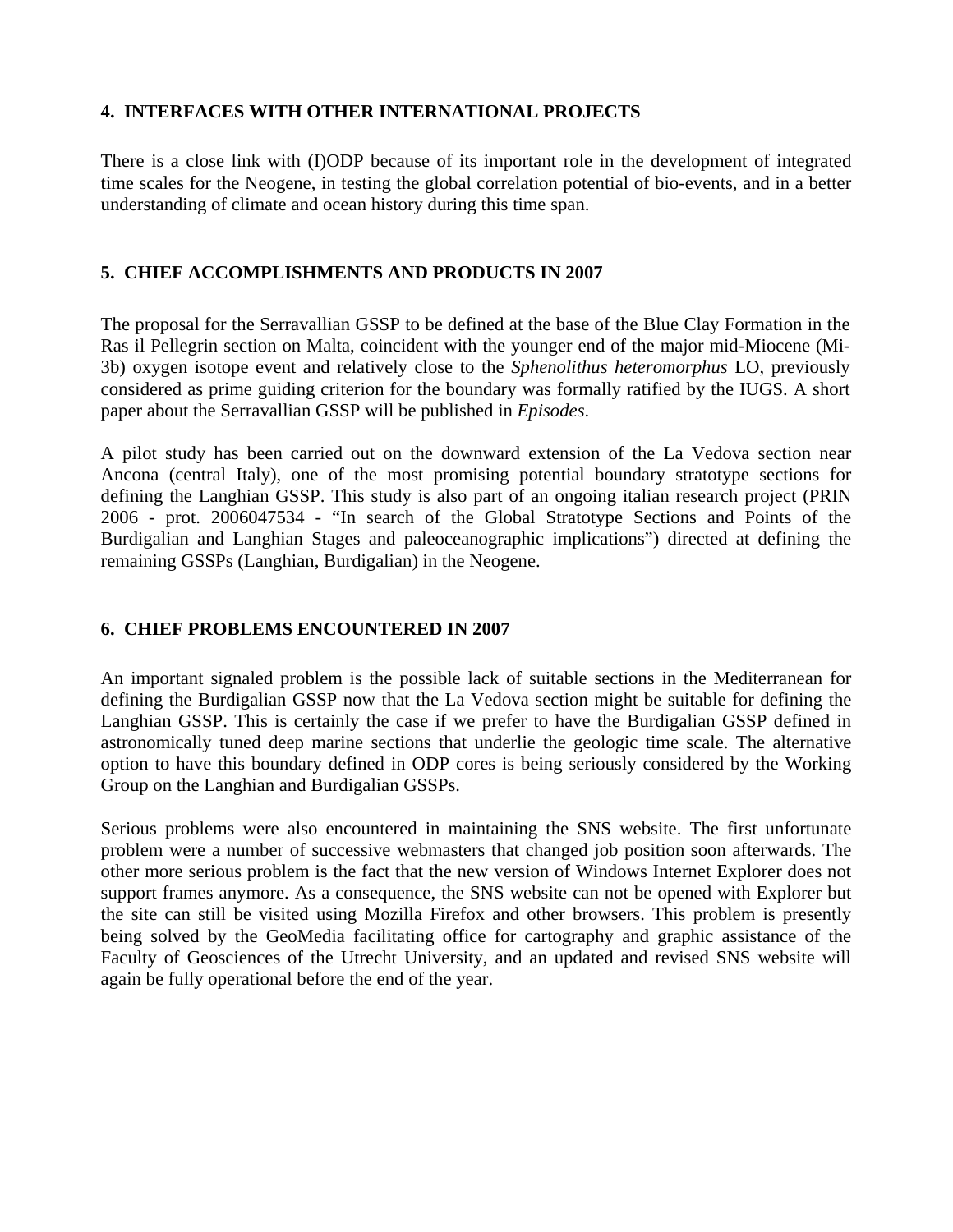# **4. INTERFACES WITH OTHER INTERNATIONAL PROJECTS**

There is a close link with (I)ODP because of its important role in the development of integrated time scales for the Neogene, in testing the global correlation potential of bio-events, and in a better understanding of climate and ocean history during this time span.

# **5. CHIEF ACCOMPLISHMENTS AND PRODUCTS IN 2007**

The proposal for the Serravallian GSSP to be defined at the base of the Blue Clay Formation in the Ras il Pellegrin section on Malta, coincident with the younger end of the major mid-Miocene (Mi-3b) oxygen isotope event and relatively close to the *Sphenolithus heteromorphus* LO, previously considered as prime guiding criterion for the boundary was formally ratified by the IUGS. A short paper about the Serravallian GSSP will be published in *Episodes*.

A pilot study has been carried out on the downward extension of the La Vedova section near Ancona (central Italy), one of the most promising potential boundary stratotype sections for defining the Langhian GSSP. This study is also part of an ongoing italian research project (PRIN 2006 - prot. 2006047534 - "In search of the Global Stratotype Sections and Points of the Burdigalian and Langhian Stages and paleoceanographic implications") directed at defining the remaining GSSPs (Langhian, Burdigalian) in the Neogene.

# **6. CHIEF PROBLEMS ENCOUNTERED IN 2007**

An important signaled problem is the possible lack of suitable sections in the Mediterranean for defining the Burdigalian GSSP now that the La Vedova section might be suitable for defining the Langhian GSSP. This is certainly the case if we prefer to have the Burdigalian GSSP defined in astronomically tuned deep marine sections that underlie the geologic time scale. The alternative option to have this boundary defined in ODP cores is being seriously considered by the Working Group on the Langhian and Burdigalian GSSPs.

Serious problems were also encountered in maintaining the SNS website. The first unfortunate problem were a number of successive webmasters that changed job position soon afterwards. The other more serious problem is the fact that the new version of Windows Internet Explorer does not support frames anymore. As a consequence, the SNS website can not be opened with Explorer but the site can still be visited using Mozilla Firefox and other browsers. This problem is presently being solved by the GeoMedia facilitating office for cartography and graphic assistance of the Faculty of Geosciences of the Utrecht University, and an updated and revised SNS website will again be fully operational before the end of the year.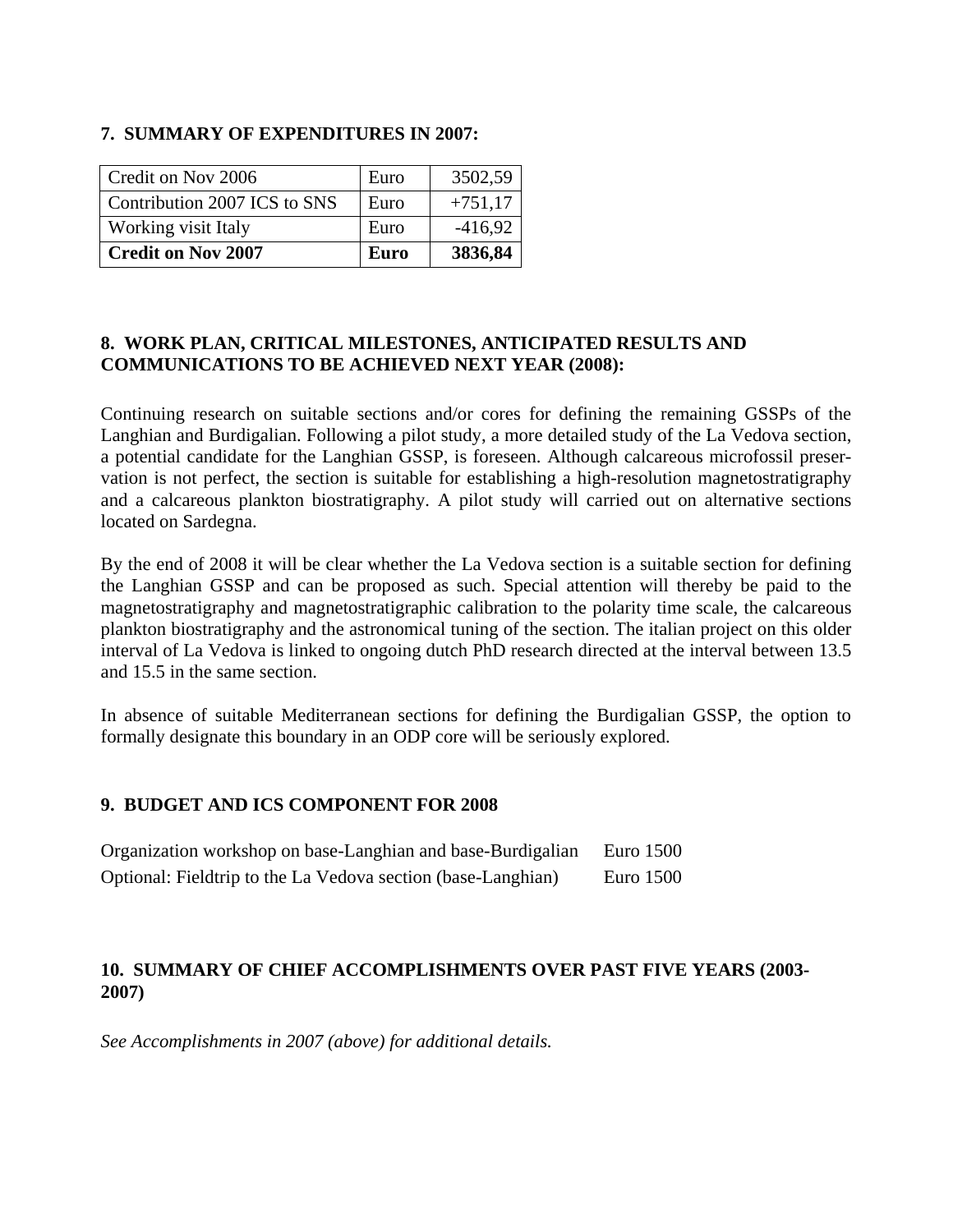#### **7. SUMMARY OF EXPENDITURES IN 2007:**

| Credit on Nov 2006           | Euro        | 3502,59   |
|------------------------------|-------------|-----------|
| Contribution 2007 ICS to SNS | Euro        | $+751,17$ |
| Working visit Italy          | Euro        | $-416,92$ |
| <b>Credit on Nov 2007</b>    | <b>Euro</b> | 3836,84   |

## **8. WORK PLAN, CRITICAL MILESTONES, ANTICIPATED RESULTS AND COMMUNICATIONS TO BE ACHIEVED NEXT YEAR (2008):**

Continuing research on suitable sections and/or cores for defining the remaining GSSPs of the Langhian and Burdigalian. Following a pilot study, a more detailed study of the La Vedova section, a potential candidate for the Langhian GSSP, is foreseen. Although calcareous microfossil preservation is not perfect, the section is suitable for establishing a high-resolution magnetostratigraphy and a calcareous plankton biostratigraphy. A pilot study will carried out on alternative sections located on Sardegna.

By the end of 2008 it will be clear whether the La Vedova section is a suitable section for defining the Langhian GSSP and can be proposed as such. Special attention will thereby be paid to the magnetostratigraphy and magnetostratigraphic calibration to the polarity time scale, the calcareous plankton biostratigraphy and the astronomical tuning of the section. The italian project on this older interval of La Vedova is linked to ongoing dutch PhD research directed at the interval between 13.5 and 15.5 in the same section.

In absence of suitable Mediterranean sections for defining the Burdigalian GSSP, the option to formally designate this boundary in an ODP core will be seriously explored.

# **9. BUDGET AND ICS COMPONENT FOR 2008**

| Organization workshop on base-Langhian and base-Burdigalian  | Euro 1500 |
|--------------------------------------------------------------|-----------|
| Optional: Fieldtrip to the La Vedova section (base-Langhian) | Euro 1500 |

## **10. SUMMARY OF CHIEF ACCOMPLISHMENTS OVER PAST FIVE YEARS (2003- 2007)**

*See Accomplishments in 2007 (above) for additional details.*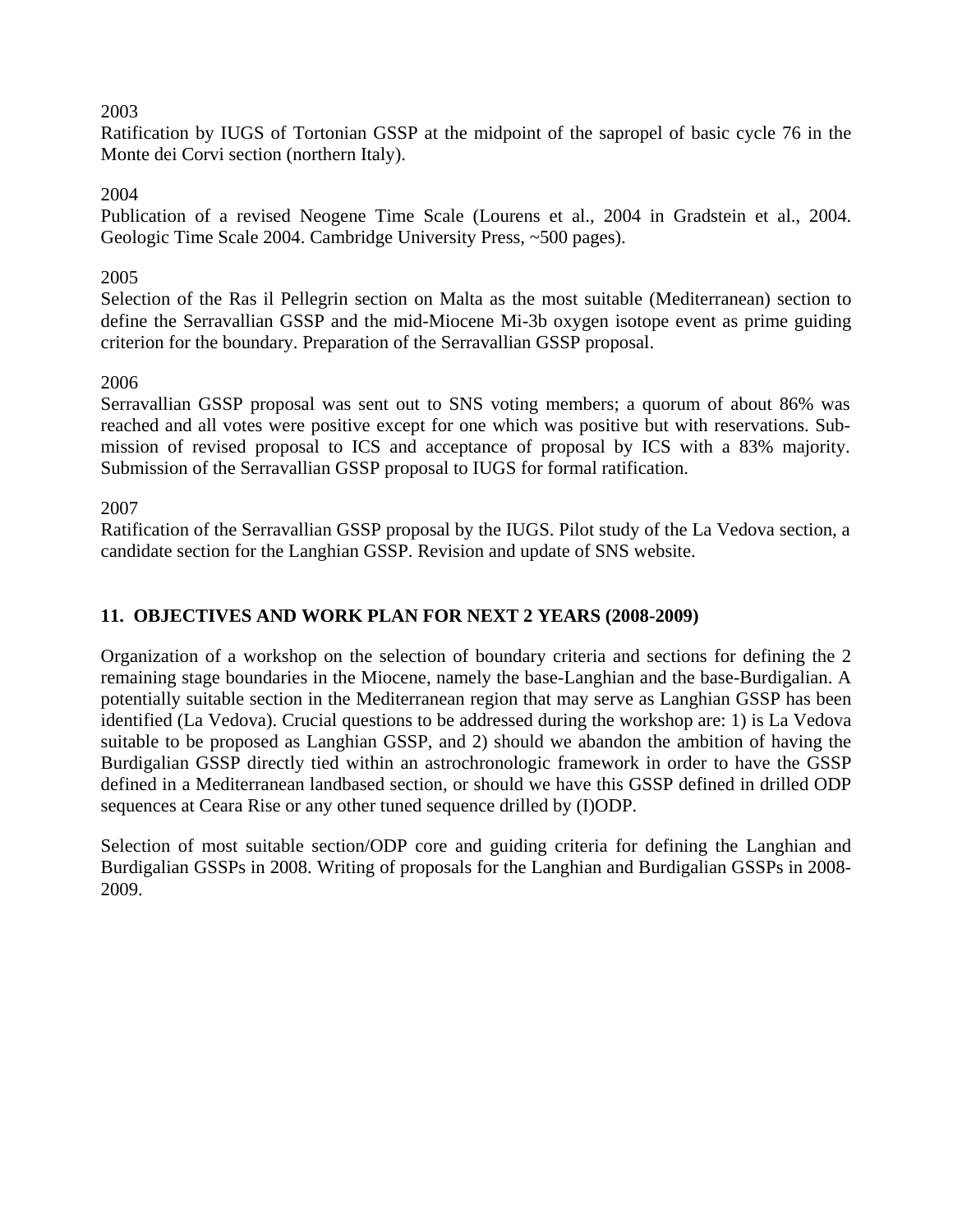# 2003

Ratification by IUGS of Tortonian GSSP at the midpoint of the sapropel of basic cycle 76 in the Monte dei Corvi section (northern Italy).

## 2004

Publication of a revised Neogene Time Scale (Lourens et al., 2004 in Gradstein et al., 2004. Geologic Time Scale 2004. Cambridge University Press, ~500 pages).

#### 2005

Selection of the Ras il Pellegrin section on Malta as the most suitable (Mediterranean) section to define the Serravallian GSSP and the mid-Miocene Mi-3b oxygen isotope event as prime guiding criterion for the boundary. Preparation of the Serravallian GSSP proposal.

## 2006

Serravallian GSSP proposal was sent out to SNS voting members; a quorum of about 86% was reached and all votes were positive except for one which was positive but with reservations. Submission of revised proposal to ICS and acceptance of proposal by ICS with a 83% majority. Submission of the Serravallian GSSP proposal to IUGS for formal ratification.

#### 2007

Ratification of the Serravallian GSSP proposal by the IUGS. Pilot study of the La Vedova section, a candidate section for the Langhian GSSP. Revision and update of SNS website.

# **11. OBJECTIVES AND WORK PLAN FOR NEXT 2 YEARS (2008-2009)**

Organization of a workshop on the selection of boundary criteria and sections for defining the 2 remaining stage boundaries in the Miocene, namely the base-Langhian and the base-Burdigalian. A potentially suitable section in the Mediterranean region that may serve as Langhian GSSP has been identified (La Vedova). Crucial questions to be addressed during the workshop are: 1) is La Vedova suitable to be proposed as Langhian GSSP, and 2) should we abandon the ambition of having the Burdigalian GSSP directly tied within an astrochronologic framework in order to have the GSSP defined in a Mediterranean landbased section, or should we have this GSSP defined in drilled ODP sequences at Ceara Rise or any other tuned sequence drilled by (I)ODP.

Selection of most suitable section/ODP core and guiding criteria for defining the Langhian and Burdigalian GSSPs in 2008. Writing of proposals for the Langhian and Burdigalian GSSPs in 2008- 2009.